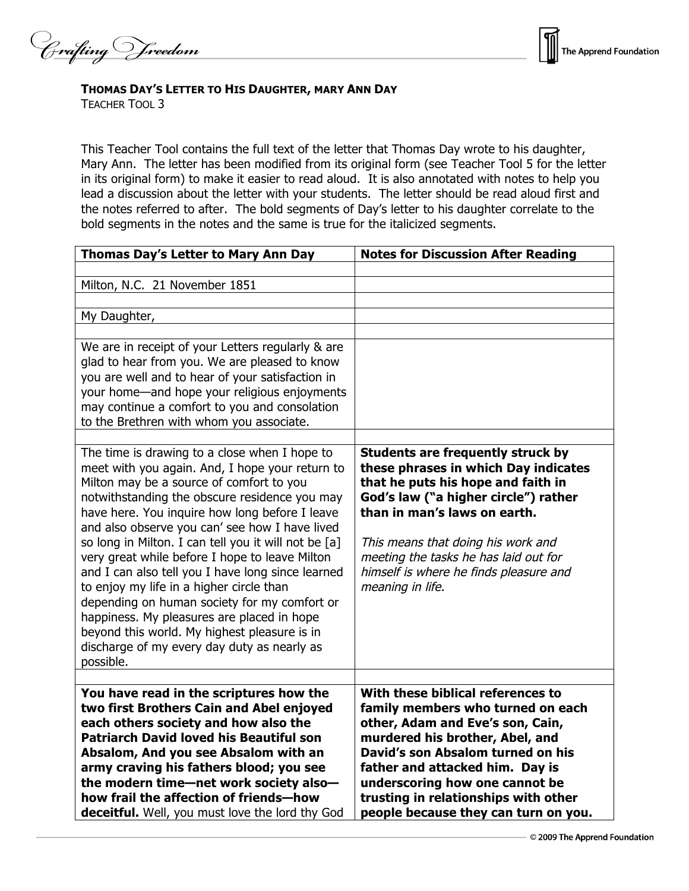Crafting Vreedom



## **THOMAS DAY'S LETTER TO HIS DAUGHTER, MARY ANN DAY**

TEACHER TOOL 3

This Teacher Tool contains the full text of the letter that Thomas Day wrote to his daughter, Mary Ann. The letter has been modified from its original form (see Teacher Tool 5 for the letter in its original form) to make it easier to read aloud. It is also annotated with notes to help you lead a discussion about the letter with your students. The letter should be read aloud first and the notes referred to after. The bold segments of Day's letter to his daughter correlate to the bold segments in the notes and the same is true for the italicized segments.

| Thomas Day's Letter to Mary Ann Day                                                                                                                                                                                                                                                                                                                                                                                                                                                                                                                                                                                                                                                                                    | <b>Notes for Discussion After Reading</b>                                                                                                                                                                                                                                                                                                   |
|------------------------------------------------------------------------------------------------------------------------------------------------------------------------------------------------------------------------------------------------------------------------------------------------------------------------------------------------------------------------------------------------------------------------------------------------------------------------------------------------------------------------------------------------------------------------------------------------------------------------------------------------------------------------------------------------------------------------|---------------------------------------------------------------------------------------------------------------------------------------------------------------------------------------------------------------------------------------------------------------------------------------------------------------------------------------------|
| Milton, N.C. 21 November 1851                                                                                                                                                                                                                                                                                                                                                                                                                                                                                                                                                                                                                                                                                          |                                                                                                                                                                                                                                                                                                                                             |
| My Daughter,                                                                                                                                                                                                                                                                                                                                                                                                                                                                                                                                                                                                                                                                                                           |                                                                                                                                                                                                                                                                                                                                             |
| We are in receipt of your Letters regularly & are<br>glad to hear from you. We are pleased to know<br>you are well and to hear of your satisfaction in<br>your home-and hope your religious enjoyments<br>may continue a comfort to you and consolation<br>to the Brethren with whom you associate.                                                                                                                                                                                                                                                                                                                                                                                                                    |                                                                                                                                                                                                                                                                                                                                             |
| The time is drawing to a close when I hope to<br>meet with you again. And, I hope your return to<br>Milton may be a source of comfort to you<br>notwithstanding the obscure residence you may<br>have here. You inquire how long before I leave<br>and also observe you can' see how I have lived<br>so long in Milton. I can tell you it will not be [a]<br>very great while before I hope to leave Milton<br>and I can also tell you I have long since learned<br>to enjoy my life in a higher circle than<br>depending on human society for my comfort or<br>happiness. My pleasures are placed in hope<br>beyond this world. My highest pleasure is in<br>discharge of my every day duty as nearly as<br>possible. | <b>Students are frequently struck by</b><br>these phrases in which Day indicates<br>that he puts his hope and faith in<br>God's law ("a higher circle") rather<br>than in man's laws on earth.<br>This means that doing his work and<br>meeting the tasks he has laid out for<br>himself is where he finds pleasure and<br>meaning in life. |
| You have read in the scriptures how the<br>two first Brothers Cain and Abel enjoyed<br>each others society and how also the<br><b>Patriarch David loved his Beautiful son</b><br>Absalom, And you see Absalom with an<br>army craving his fathers blood; you see<br>the modern time-net work society also-<br>how frail the affection of friends-how<br>deceitful. Well, you must love the lord thy God                                                                                                                                                                                                                                                                                                                | With these biblical references to<br>family members who turned on each<br>other, Adam and Eve's son, Cain,<br>murdered his brother, Abel, and<br>David's son Absalom turned on his<br>father and attacked him. Day is<br>underscoring how one cannot be<br>trusting in relationships with other<br>people because they can turn on you.     |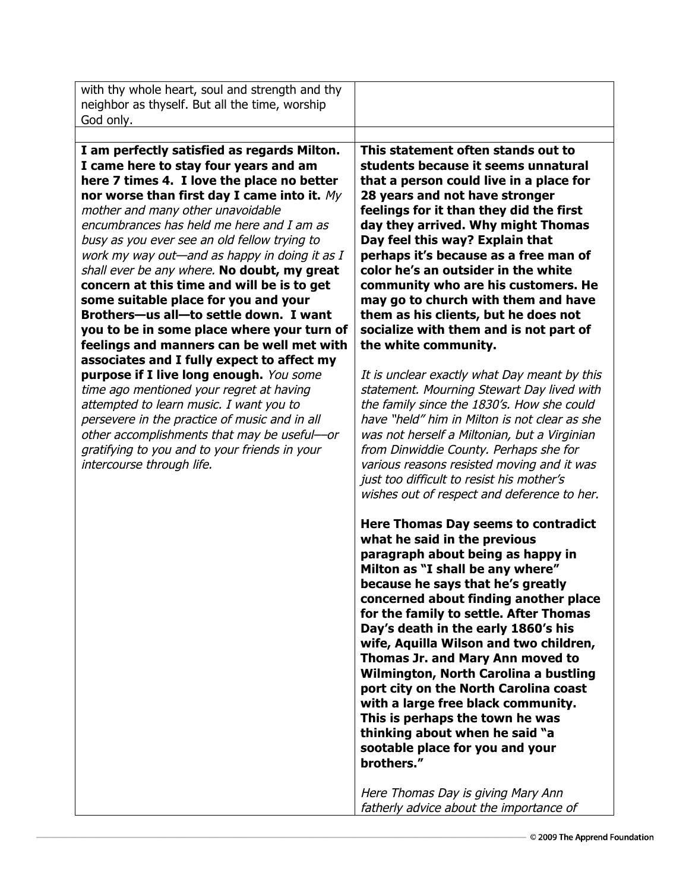| with thy whole heart, soul and strength and thy<br>neighbor as thyself. But all the time, worship<br>God only.                                                                                                                                                                                                                                                                                                                                                                                                                                                                                                                                                                                                                                                                                                                                                                                                                                                                                                 |                                                                                                                                                                                                                                                                                                                                                                                                                                                                                                                                                                                                                                                                                                                                                                                                                                                                                                                                                                                     |
|----------------------------------------------------------------------------------------------------------------------------------------------------------------------------------------------------------------------------------------------------------------------------------------------------------------------------------------------------------------------------------------------------------------------------------------------------------------------------------------------------------------------------------------------------------------------------------------------------------------------------------------------------------------------------------------------------------------------------------------------------------------------------------------------------------------------------------------------------------------------------------------------------------------------------------------------------------------------------------------------------------------|-------------------------------------------------------------------------------------------------------------------------------------------------------------------------------------------------------------------------------------------------------------------------------------------------------------------------------------------------------------------------------------------------------------------------------------------------------------------------------------------------------------------------------------------------------------------------------------------------------------------------------------------------------------------------------------------------------------------------------------------------------------------------------------------------------------------------------------------------------------------------------------------------------------------------------------------------------------------------------------|
| I am perfectly satisfied as regards Milton.<br>I came here to stay four years and am<br>here 7 times 4. I love the place no better<br>nor worse than first day I came into it. $My$<br>mother and many other unavoidable<br>encumbrances has held me here and I am as<br>busy as you ever see an old fellow trying to<br>work my way out—and as happy in doing it as I<br>shall ever be any where. No doubt, my great<br>concern at this time and will be is to get<br>some suitable place for you and your<br>Brothers-us all-to settle down. I want<br>you to be in some place where your turn of<br>feelings and manners can be well met with<br>associates and I fully expect to affect my<br>purpose if I live long enough. You some<br>time ago mentioned your regret at having<br>attempted to learn music. I want you to<br>persevere in the practice of music and in all<br>other accomplishments that may be useful-or<br>gratifying to you and to your friends in your<br>intercourse through life. | This statement often stands out to<br>students because it seems unnatural<br>that a person could live in a place for<br>28 years and not have stronger<br>feelings for it than they did the first<br>day they arrived. Why might Thomas<br>Day feel this way? Explain that<br>perhaps it's because as a free man of<br>color he's an outsider in the white<br>community who are his customers. He<br>may go to church with them and have<br>them as his clients, but he does not<br>socialize with them and is not part of<br>the white community.<br>It is unclear exactly what Day meant by this<br>statement. Mourning Stewart Day lived with<br>the family since the 1830's. How she could<br>have "held" him in Milton is not clear as she<br>was not herself a Miltonian, but a Virginian<br>from Dinwiddie County. Perhaps she for<br>various reasons resisted moving and it was<br>just too difficult to resist his mother's<br>wishes out of respect and deference to her. |
|                                                                                                                                                                                                                                                                                                                                                                                                                                                                                                                                                                                                                                                                                                                                                                                                                                                                                                                                                                                                                | Here Thomas Day seems to contradict<br>what he said in the previous<br>paragraph about being as happy in<br>Milton as "I shall be any where"<br>because he says that he's greatly<br>concerned about finding another place<br>for the family to settle. After Thomas<br>Day's death in the early 1860's his<br>wife, Aquilla Wilson and two children,<br>Thomas Jr. and Mary Ann moved to<br>Wilmington, North Carolina a bustling<br>port city on the North Carolina coast<br>with a large free black community.<br>This is perhaps the town he was<br>thinking about when he said "a<br>sootable place for you and your<br>brothers."<br>Here Thomas Day is giving Mary Ann<br>fatherly advice about the importance of                                                                                                                                                                                                                                                            |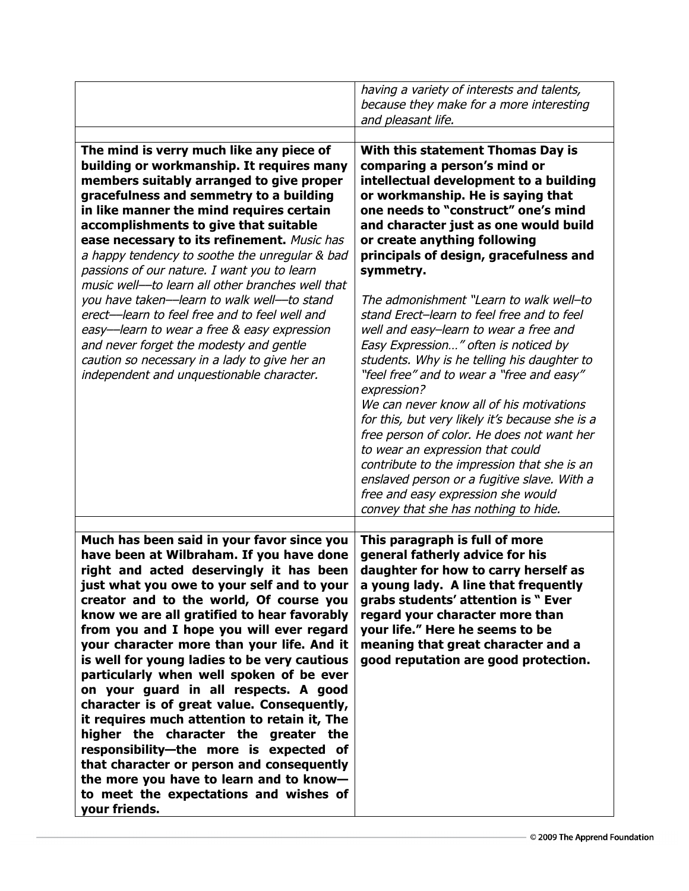|                                                                                                                                                                                                                                                                                                                                                                                                                                                                                                                                                                                                                                                                                                                                                                                                                                             | having a variety of interests and talents,<br>because they make for a more interesting<br>and pleasant life.                                                                                                                                                                                                                                                                                                                                                                                                                                                                                                                                                                                                                                                                                                                                                                                                                                                               |
|---------------------------------------------------------------------------------------------------------------------------------------------------------------------------------------------------------------------------------------------------------------------------------------------------------------------------------------------------------------------------------------------------------------------------------------------------------------------------------------------------------------------------------------------------------------------------------------------------------------------------------------------------------------------------------------------------------------------------------------------------------------------------------------------------------------------------------------------|----------------------------------------------------------------------------------------------------------------------------------------------------------------------------------------------------------------------------------------------------------------------------------------------------------------------------------------------------------------------------------------------------------------------------------------------------------------------------------------------------------------------------------------------------------------------------------------------------------------------------------------------------------------------------------------------------------------------------------------------------------------------------------------------------------------------------------------------------------------------------------------------------------------------------------------------------------------------------|
| The mind is verry much like any piece of<br>building or workmanship. It requires many<br>members suitably arranged to give proper<br>gracefulness and semmetry to a building<br>in like manner the mind requires certain<br>accomplishments to give that suitable<br>ease necessary to its refinement. Music has<br>a happy tendency to soothe the unregular & bad<br>passions of our nature. I want you to learn<br>music well--to learn all other branches well that<br>you have taken-learn to walk well--to stand<br>erect-learn to feel free and to feel well and<br>easy-learn to wear a free & easy expression<br>and never forget the modesty and gentle<br>caution so necessary in a lady to give her an<br>independent and unquestionable character.                                                                              | With this statement Thomas Day is<br>comparing a person's mind or<br>intellectual development to a building<br>or workmanship. He is saying that<br>one needs to "construct" one's mind<br>and character just as one would build<br>or create anything following<br>principals of design, gracefulness and<br>symmetry.<br>The admonishment "Learn to walk well-to<br>stand Erect-learn to feel free and to feel<br>well and easy-learn to wear a free and<br>Easy Expression" often is noticed by<br>students. Why is he telling his daughter to<br>"feel free" and to wear a "free and easy"<br>expression?<br>We can never know all of his motivations<br>for this, but very likely it's because she is a<br>free person of color. He does not want her<br>to wear an expression that could<br>contribute to the impression that she is an<br>enslaved person or a fugitive slave. With a<br>free and easy expression she would<br>convey that she has nothing to hide. |
| Much has been said in your favor since you<br>have been at Wilbraham. If you have done<br>right and acted deservingly it has been<br>just what you owe to your self and to your<br>creator and to the world, Of course you<br>know we are all gratified to hear favorably<br>from you and I hope you will ever regard<br>your character more than your life. And it<br>is well for young ladies to be very cautious<br>particularly when well spoken of be ever<br>on your guard in all respects. A good<br>character is of great value. Consequently,<br>it requires much attention to retain it, The<br>higher the character the greater the<br>responsibility-the more is expected of<br>that character or person and consequently<br>the more you have to learn and to know-<br>to meet the expectations and wishes of<br>your friends. | This paragraph is full of more<br>general fatherly advice for his<br>daughter for how to carry herself as<br>a young lady. A line that frequently<br>grabs students' attention is " Ever<br>regard your character more than<br>your life." Here he seems to be<br>meaning that great character and a<br>good reputation are good protection.                                                                                                                                                                                                                                                                                                                                                                                                                                                                                                                                                                                                                               |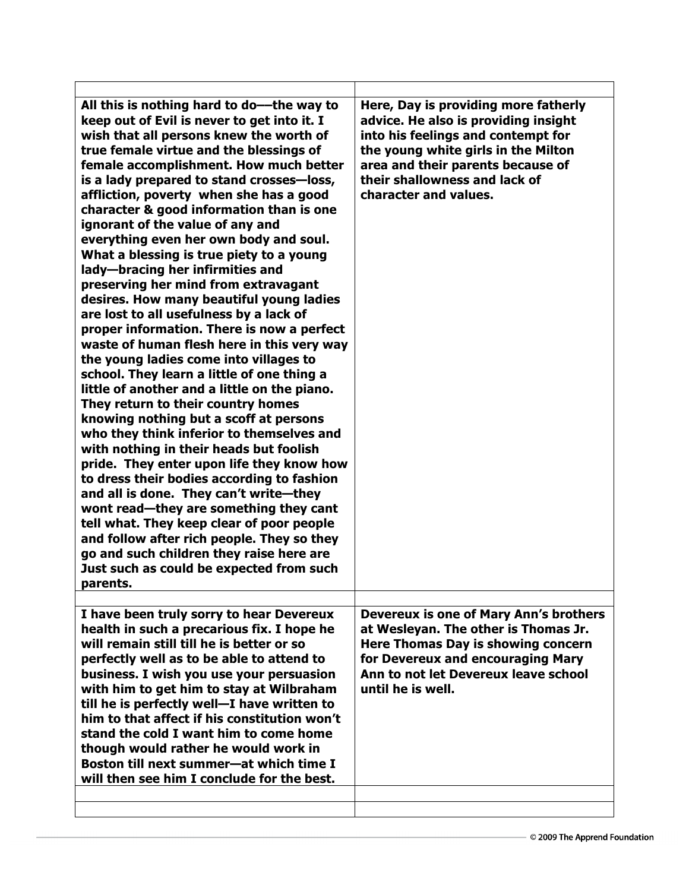| All this is nothing hard to do--the way to<br>keep out of Evil is never to get into it. I<br>wish that all persons knew the worth of<br>true female virtue and the blessings of<br>female accomplishment. How much better<br>is a lady prepared to stand crosses-loss,<br>affliction, poverty when she has a good<br>character & good information than is one<br>ignorant of the value of any and<br>everything even her own body and soul.<br>What a blessing is true piety to a young<br>lady-bracing her infirmities and<br>preserving her mind from extravagant<br>desires. How many beautiful young ladies<br>are lost to all usefulness by a lack of<br>proper information. There is now a perfect<br>waste of human flesh here in this very way<br>the young ladies come into villages to<br>school. They learn a little of one thing a<br>little of another and a little on the piano.<br>They return to their country homes<br>knowing nothing but a scoff at persons<br>who they think inferior to themselves and<br>with nothing in their heads but foolish<br>pride. They enter upon life they know how<br>to dress their bodies according to fashion<br>and all is done. They can't write-they<br>wont read-they are something they cant<br>tell what. They keep clear of poor people<br>and follow after rich people. They so they<br>go and such children they raise here are<br>Just such as could be expected from such<br>parents. | Here, Day is providing more fatherly<br>advice. He also is providing insight<br>into his feelings and contempt for<br>the young white girls in the Milton<br>area and their parents because of<br>their shallowness and lack of<br>character and values. |
|------------------------------------------------------------------------------------------------------------------------------------------------------------------------------------------------------------------------------------------------------------------------------------------------------------------------------------------------------------------------------------------------------------------------------------------------------------------------------------------------------------------------------------------------------------------------------------------------------------------------------------------------------------------------------------------------------------------------------------------------------------------------------------------------------------------------------------------------------------------------------------------------------------------------------------------------------------------------------------------------------------------------------------------------------------------------------------------------------------------------------------------------------------------------------------------------------------------------------------------------------------------------------------------------------------------------------------------------------------------------------------------------------------------------------------------------------|----------------------------------------------------------------------------------------------------------------------------------------------------------------------------------------------------------------------------------------------------------|
| I have been truly sorry to hear Devereux<br>health in such a precarious fix. I hope he<br>will remain still till he is better or so<br>perfectly well as to be able to attend to<br>business. I wish you use your persuasion<br>with him to get him to stay at Wilbraham<br>till he is perfectly well-I have written to<br>him to that affect if his constitution won't<br>stand the cold I want him to come home<br>though would rather he would work in<br>Boston till next summer-at which time I<br>will then see him I conclude for the best.                                                                                                                                                                                                                                                                                                                                                                                                                                                                                                                                                                                                                                                                                                                                                                                                                                                                                                   | <b>Devereux is one of Mary Ann's brothers</b><br>at Wesleyan. The other is Thomas Jr.<br>Here Thomas Day is showing concern<br>for Devereux and encouraging Mary<br>Ann to not let Devereux leave school<br>until he is well.                            |
|                                                                                                                                                                                                                                                                                                                                                                                                                                                                                                                                                                                                                                                                                                                                                                                                                                                                                                                                                                                                                                                                                                                                                                                                                                                                                                                                                                                                                                                      |                                                                                                                                                                                                                                                          |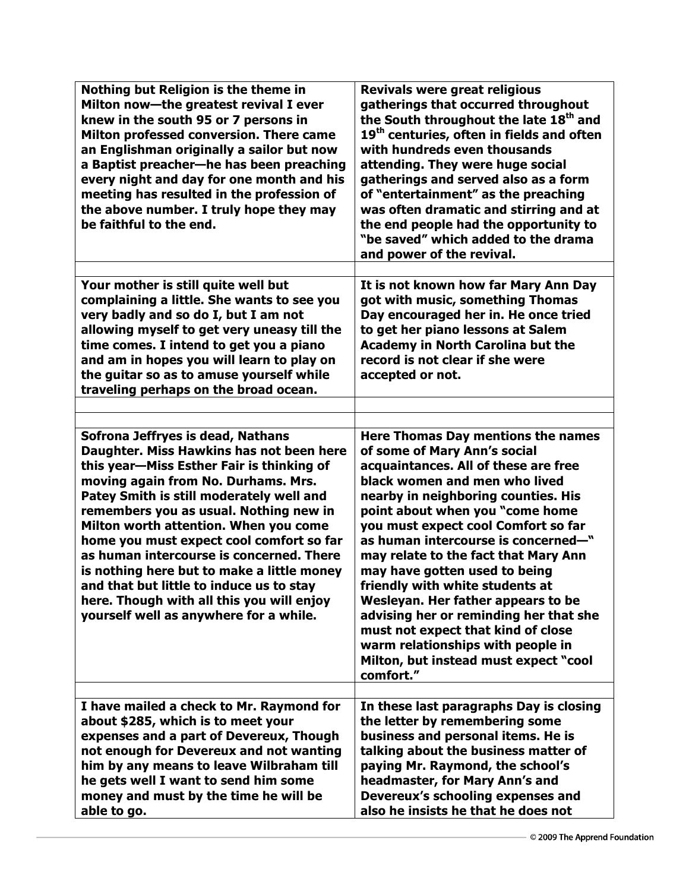| Nothing but Religion is the theme in<br>Milton now-the greatest revival I ever<br>knew in the south 95 or 7 persons in<br>Milton professed conversion. There came<br>an Englishman originally a sailor but now<br>a Baptist preacher-he has been preaching<br>every night and day for one month and his<br>meeting has resulted in the profession of<br>the above number. I truly hope they may<br>be faithful to the end.                                                                                                                                                | Revivals were great religious<br>gatherings that occurred throughout<br>the South throughout the late 18 <sup>th</sup> and<br>19 <sup>th</sup> centuries, often in fields and often<br>with hundreds even thousands<br>attending. They were huge social<br>gatherings and served also as a form<br>of "entertainment" as the preaching<br>was often dramatic and stirring and at<br>the end people had the opportunity to<br>"be saved" which added to the drama<br>and power of the revival.                                                                                                                                           |
|---------------------------------------------------------------------------------------------------------------------------------------------------------------------------------------------------------------------------------------------------------------------------------------------------------------------------------------------------------------------------------------------------------------------------------------------------------------------------------------------------------------------------------------------------------------------------|-----------------------------------------------------------------------------------------------------------------------------------------------------------------------------------------------------------------------------------------------------------------------------------------------------------------------------------------------------------------------------------------------------------------------------------------------------------------------------------------------------------------------------------------------------------------------------------------------------------------------------------------|
| Your mother is still quite well but<br>complaining a little. She wants to see you<br>very badly and so do I, but I am not<br>allowing myself to get very uneasy till the<br>time comes. I intend to get you a piano<br>and am in hopes you will learn to play on<br>the guitar so as to amuse yourself while<br>traveling perhaps on the broad ocean.                                                                                                                                                                                                                     | It is not known how far Mary Ann Day<br>got with music, something Thomas<br>Day encouraged her in. He once tried<br>to get her piano lessons at Salem<br><b>Academy in North Carolina but the</b><br>record is not clear if she were<br>accepted or not.                                                                                                                                                                                                                                                                                                                                                                                |
| Sofrona Jeffryes is dead, Nathans<br>Daughter. Miss Hawkins has not been here<br>this year-Miss Esther Fair is thinking of<br>moving again from No. Durhams. Mrs.<br>Patey Smith is still moderately well and<br>remembers you as usual. Nothing new in<br>Milton worth attention. When you come<br>home you must expect cool comfort so far<br>as human intercourse is concerned. There<br>is nothing here but to make a little money<br>and that but little to induce us to stay<br>here. Though with all this you will enjoy<br>yourself well as anywhere for a while. | <b>Here Thomas Day mentions the names</b><br>of some of Mary Ann's social<br>acquaintances. All of these are free<br>black women and men who lived<br>nearby in neighboring counties. His<br>point about when you "come home<br>you must expect cool Comfort so far<br>as human intercourse is concerned-"<br>may relate to the fact that Mary Ann<br>may have gotten used to being<br>friendly with white students at<br>Wesleyan. Her father appears to be<br>advising her or reminding her that she<br>must not expect that kind of close<br>warm relationships with people in<br>Milton, but instead must expect "cool<br>comfort." |
| I have mailed a check to Mr. Raymond for<br>about \$285, which is to meet your<br>expenses and a part of Devereux, Though<br>not enough for Devereux and not wanting<br>him by any means to leave Wilbraham till<br>he gets well I want to send him some<br>money and must by the time he will be<br>able to go.                                                                                                                                                                                                                                                          | In these last paragraphs Day is closing<br>the letter by remembering some<br>business and personal items. He is<br>talking about the business matter of<br>paying Mr. Raymond, the school's<br>headmaster, for Mary Ann's and<br>Devereux's schooling expenses and<br>also he insists he that he does not                                                                                                                                                                                                                                                                                                                               |